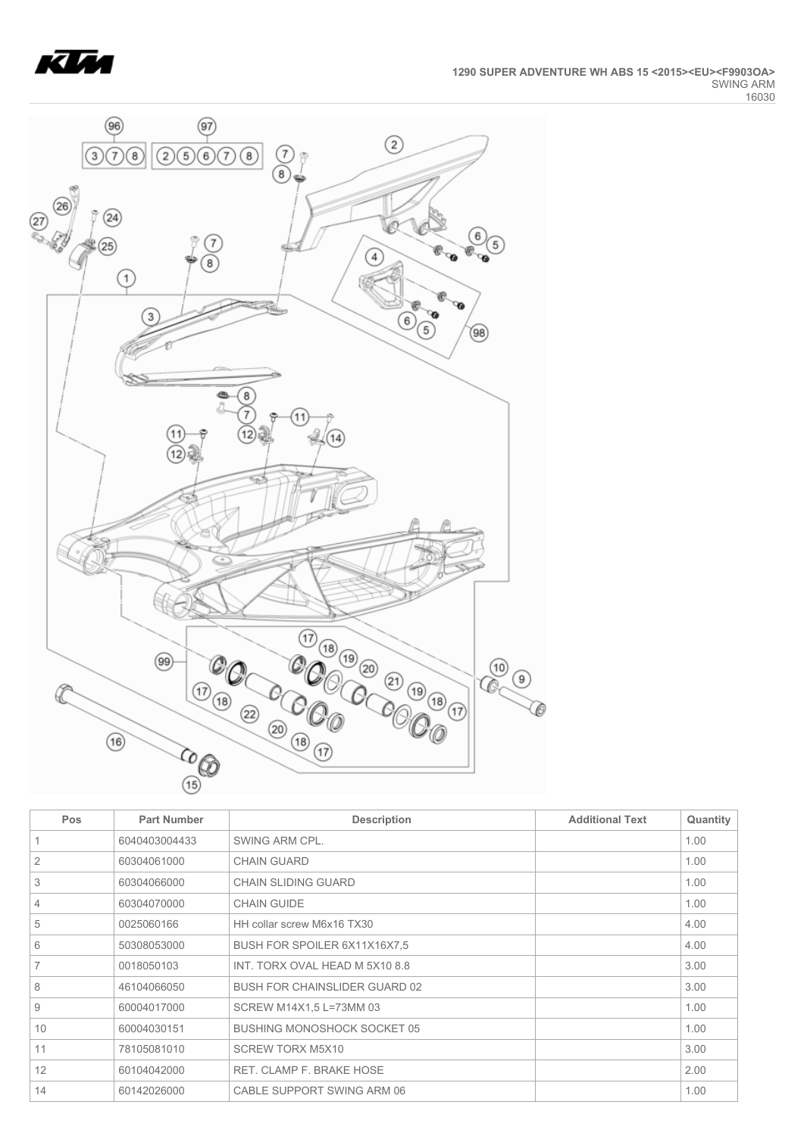



| Pos            | <b>Part Number</b> | <b>Description</b>                   | <b>Additional Text</b> | Quantity |
|----------------|--------------------|--------------------------------------|------------------------|----------|
|                | 6040403004433      | SWING ARM CPL.                       |                        | 1.00     |
| 2              | 60304061000        | <b>CHAIN GUARD</b>                   |                        | 1.00     |
| 3              | 60304066000        | <b>CHAIN SLIDING GUARD</b>           |                        | 1.00     |
| $\overline{4}$ | 60304070000        | <b>CHAIN GUIDE</b>                   |                        | 1.00     |
| 5              | 0025060166         | HH collar screw M6x16 TX30           |                        | 4.00     |
| 6              | 50308053000        | BUSH FOR SPOILER 6X11X16X7.5         |                        | 4.00     |
| 7              | 0018050103         | INT. TORX OVAL HEAD M 5X10 8.8       |                        | 3.00     |
| 8              | 46104066050        | <b>BUSH FOR CHAINSLIDER GUARD 02</b> |                        | 3.00     |
| 9              | 60004017000        | SCREW M14X1,5 L=73MM 03              |                        | 1.00     |
| 10             | 60004030151        | <b>BUSHING MONOSHOCK SOCKET 05</b>   |                        | 1.00     |
| 11             | 78105081010        | <b>SCREW TORX M5X10</b>              |                        | 3.00     |
| 12             | 60104042000        | RET. CLAMP F. BRAKE HOSE             |                        | 2.00     |
| 14             | 60142026000        | CABLE SUPPORT SWING ARM 06           |                        | 1.00     |